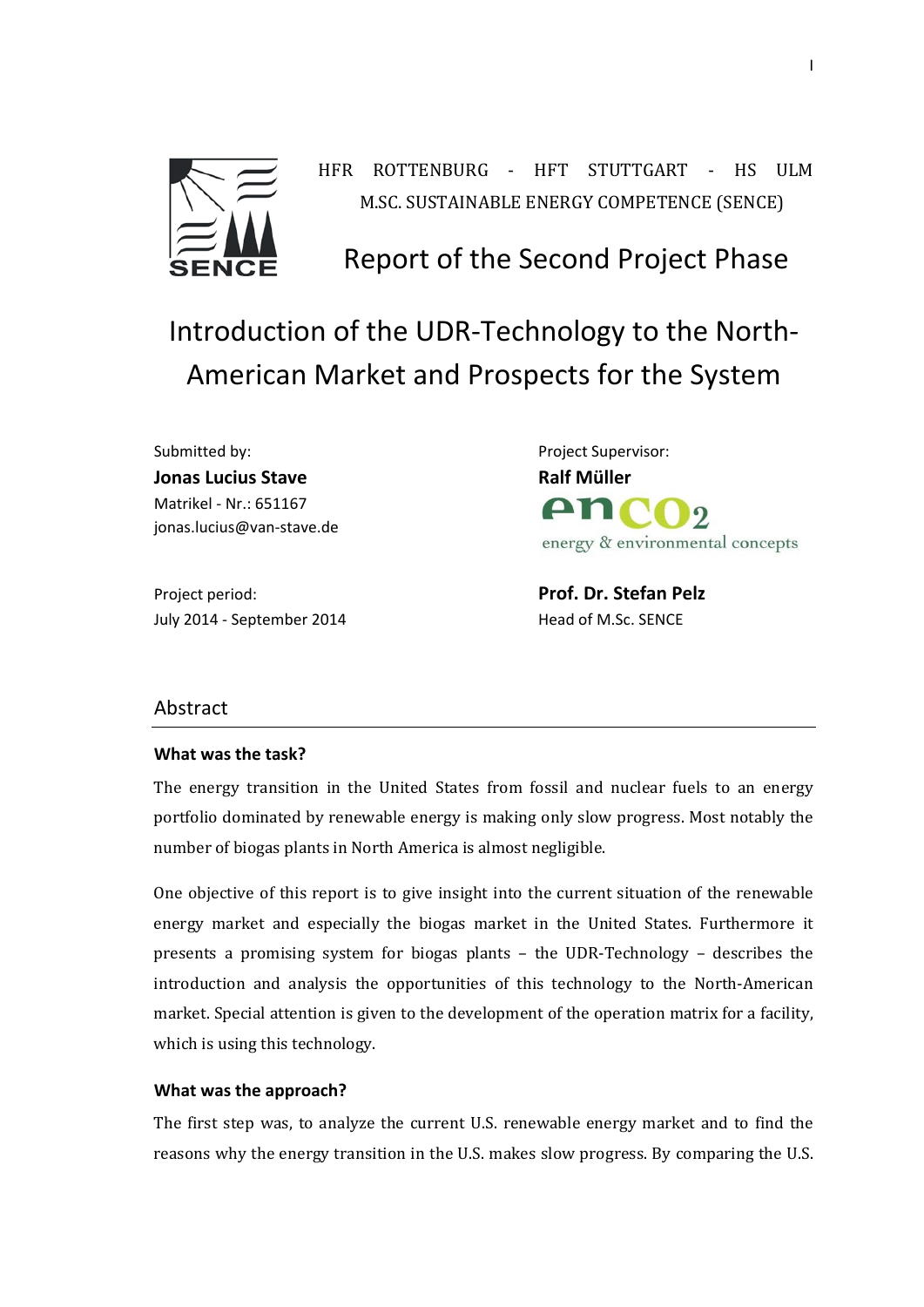

HFR ROTTENBURG ‐ HFT STUTTGART ‐ HS ULM M.SC. SUSTAINABLE ENERGY COMPETENCE (SENCE)

# Report of the Second Project Phase

Introduction of the UDR‐Technology to the North‐ American Market and Prospects for the System

Submitted by: Submitted by: Submitted by: Submitted by: Submitted by: Submitted by: Submitted by: Submitted by: Submitted by: Submitted by: Submitted by: Submitted by: Submitted by: Submitted by: Submitted by: Submitted by **Jonas Lucius Stave Ralf Müller** Matrikel ‐ Nr.: 651167 jonas.lucius@van‐stave.de

**An** energy & environmental concepts

Project period: **Prof. Dr. Stefan Pelz** July 2014 ‐ September 2014 Head of M.Sc. SENCE

### Abstract

#### **What was the task?**

The energy transition in the United States from fossil and nuclear fuels to an energy portfolio dominated by renewable energy is making only slow progress. Most notably the number of biogas plants in North America is almost negligible.

One objective of this report is to give insight into the current situation of the renewable energy market and especially the biogas market in the United States. Furthermore it presents a promising system for biogas plants  $-$  the UDR-Technology  $-$  describes the introduction and analysis the opportunities of this technology to the North-American market. Special attention is given to the development of the operation matrix for a facility, which is using this technology.

#### **What was the approach?**

The first step was, to analyze the current U.S. renewable energy market and to find the reasons why the energy transition in the U.S. makes slow progress. By comparing the U.S.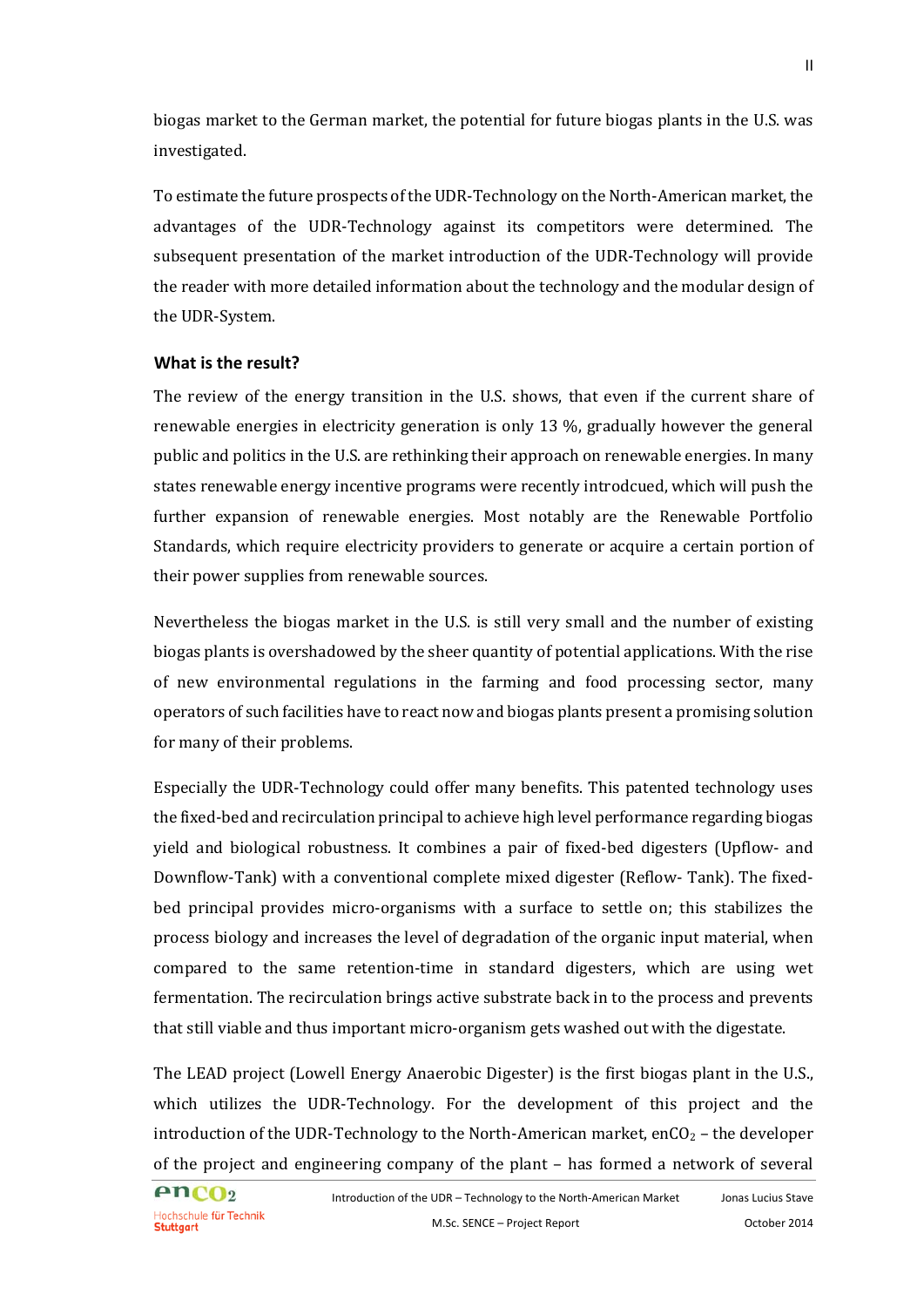biogas market to the German market, the potential for future biogas plants in the U.S. was investigated. 

To estimate the future prospects of the UDR-Technology on the North-American market, the advantages of the UDR-Technology against its competitors were determined. The subsequent presentation of the market introduction of the UDR-Technology will provide the reader with more detailed information about the technology and the modular design of the UDR-System.

## **What is the result?**

The review of the energy transition in the U.S. shows, that even if the current share of renewable energies in electricity generation is only 13 %, gradually however the general public and politics in the U.S. are rethinking their approach on renewable energies. In many states renewable energy incentive programs were recently introdcued, which will push the further expansion of renewable energies. Most notably are the Renewable Portfolio Standards, which require electricity providers to generate or acquire a certain portion of their power supplies from renewable sources.

Nevertheless the biogas market in the U.S. is still very small and the number of existing biogas plants is overshadowed by the sheer quantity of potential applications. With the rise of new environmental regulations in the farming and food processing sector, many operators of such facilities have to react now and biogas plants present a promising solution for many of their problems.

Especially the UDR-Technology could offer many benefits. This patented technology uses the fixed-bed and recirculation principal to achieve high level performance regarding biogas yield and biological robustness. It combines a pair of fixed-bed digesters (Upflow- and Downflow-Tank) with a conventional complete mixed digester (Reflow-Tank). The fixedbed principal provides micro-organisms with a surface to settle on; this stabilizes the process biology and increases the level of degradation of the organic input material, when compared to the same retention-time in standard digesters, which are using wet fermentation. The recirculation brings active substrate back in to the process and prevents that still viable and thus important micro-organism gets washed out with the digestate.

The LEAD project (Lowell Energy Anaerobic Digester) is the first biogas plant in the U.S., which utilizes the UDR-Technology. For the development of this project and the introduction of the UDR-Technology to the North-American market, enCO<sub>2</sub> – the developer of the project and engineering company of the plant  $-$  has formed a network of several